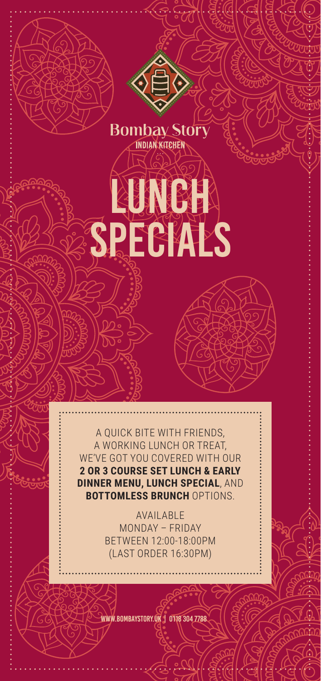

KUNCH

**Bombay Story INDIAN KITCHEN** 

SPECIALS

AVAILABLE MONDAY – FRIDAY BETWEEN 12:00-18:00PM (LAST ORDER 16:30PM)

www.bombaystory.uk | 0118 304 7788